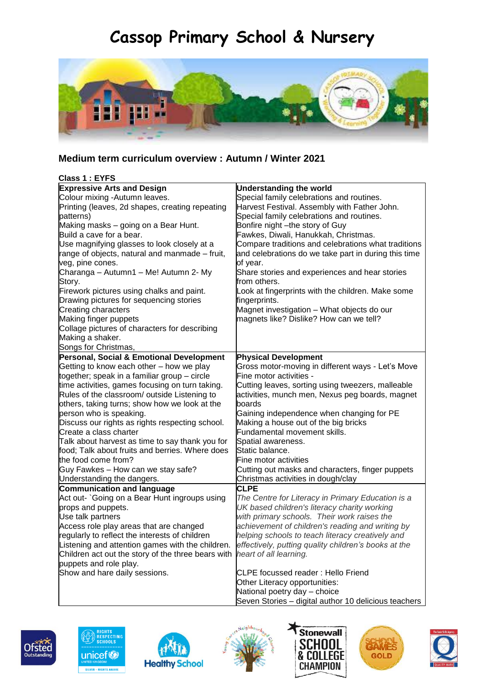## **Cassop Primary School & Nursery**



## **Medium term curriculum overview : Autumn / Winter 2021**

| Class 1: EYFS                                      |                                                      |
|----------------------------------------------------|------------------------------------------------------|
| <b>Expressive Arts and Design</b>                  | <b>Understanding the world</b>                       |
| Colour mixing -Autumn leaves.                      | Special family celebrations and routines.            |
| Printing (leaves, 2d shapes, creating repeating    | Harvest Festival. Assembly with Father John.         |
| patterns)                                          | Special family celebrations and routines.            |
| Making masks - going on a Bear Hunt.               | Bonfire night -the story of Guy                      |
| Build a cave for a bear.                           | Fawkes, Diwali, Hanukkah, Christmas.                 |
| Use magnifying glasses to look closely at a        | Compare traditions and celebrations what traditions  |
| range of objects, natural and manmade - fruit,     | and celebrations do we take part in during this time |
| veg, pine cones.                                   | of year.                                             |
| Charanga - Autumn1 - Me! Autumn 2- My              | Share stories and experiences and hear stories       |
| Story.                                             | from others.                                         |
| Firework pictures using chalks and paint.          | Look at fingerprints with the children. Make some    |
| Drawing pictures for sequencing stories            | fingerprints.                                        |
| <b>Creating characters</b>                         | Magnet investigation - What objects do our           |
| Making finger puppets                              | magnets like? Dislike? How can we tell?              |
| Collage pictures of characters for describing      |                                                      |
| Making a shaker.                                   |                                                      |
| Songs for Christmas,                               |                                                      |
| Personal, Social & Emotional Development           | <b>Physical Development</b>                          |
| Getting to know each other - how we play           | Gross motor-moving in different ways - Let's Move    |
| together; speak in a familiar group - circle       | Fine motor activities -                              |
| time activities, games focusing on turn taking.    | Cutting leaves, sorting using tweezers, malleable    |
| Rules of the classroom/ outside Listening to       | activities, munch men, Nexus peg boards, magnet      |
| others, taking turns; show how we look at the      | boards                                               |
| person who is speaking.                            | Gaining independence when changing for PE            |
| Discuss our rights as rights respecting school.    | Making a house out of the big bricks                 |
| Create a class charter                             | Fundamental movement skills.                         |
| Talk about harvest as time to say thank you for    | Spatial awareness.                                   |
| food; Talk about fruits and berries. Where does    | Static balance.                                      |
| the food come from?                                | Fine motor activities                                |
| Guy Fawkes - How can we stay safe?                 | Cutting out masks and characters, finger puppets     |
| Understanding the dangers.                         | Christmas activities in dough/clay                   |
| Communication and language                         | <b>CLPE</b>                                          |
| Act out- `Going on a Bear Hunt ingroups using      | The Centre for Literacy in Primary Education is a    |
| props and puppets.                                 | UK based children's literacy charity working         |
| Use talk partners                                  | with primary schools. Their work raises the          |
| Access role play areas that are changed            | achievement of children's reading and writing by     |
| regularly to reflect the interests of children     | helping schools to teach literacy creatively and     |
| Listening and attention games with the children.   | effectively, putting quality children's books at the |
| Children act out the story of the three bears with | heart of all learning.                               |
| puppets and role play.                             |                                                      |
| Show and hare daily sessions.                      | <b>CLPE</b> focussed reader: Hello Friend            |
|                                                    | Other Literacy opportunities:                        |
|                                                    | National poetry day - choice                         |











Seven Stories – digital author 10 delicious teachers



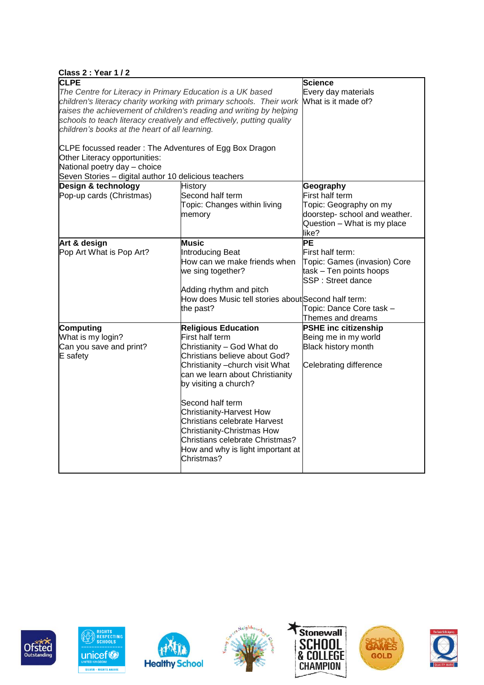| Class 2: Year 1/2                                                                       |                                                     |                               |  |  |
|-----------------------------------------------------------------------------------------|-----------------------------------------------------|-------------------------------|--|--|
| <b>CLPE</b>                                                                             |                                                     | Science                       |  |  |
| The Centre for Literacy in Primary Education is a UK based                              | Every day materials                                 |                               |  |  |
| children's literacy charity working with primary schools. Their work                    |                                                     | What is it made of?           |  |  |
| raises the achievement of children's reading and writing by helping                     |                                                     |                               |  |  |
| schools to teach literacy creatively and effectively, putting quality                   |                                                     |                               |  |  |
| children's books at the heart of all learning.                                          |                                                     |                               |  |  |
|                                                                                         |                                                     |                               |  |  |
| CLPE focussed reader: The Adventures of Egg Box Dragon<br>Other Literacy opportunities: |                                                     |                               |  |  |
| National poetry day - choice                                                            |                                                     |                               |  |  |
| Seven Stories - digital author 10 delicious teachers                                    |                                                     |                               |  |  |
| Design & technology                                                                     | <b>History</b>                                      | Geography                     |  |  |
| Pop-up cards (Christmas)                                                                | Second half term                                    | First half term               |  |  |
|                                                                                         | Topic: Changes within living                        | Topic: Geography on my        |  |  |
|                                                                                         | memory                                              | doorstep- school and weather. |  |  |
|                                                                                         |                                                     | Question - What is my place   |  |  |
|                                                                                         |                                                     | like?                         |  |  |
| Art & design                                                                            | <b>Music</b>                                        | <b>PE</b>                     |  |  |
| Pop Art What is Pop Art?                                                                | Introducing Beat                                    | First half term:              |  |  |
|                                                                                         | How can we make friends when                        | Topic: Games (invasion) Core  |  |  |
|                                                                                         | we sing together?                                   | task - Ten points hoops       |  |  |
|                                                                                         |                                                     | SSP: Street dance             |  |  |
|                                                                                         | Adding rhythm and pitch                             |                               |  |  |
|                                                                                         | How does Music tell stories about Second half term: |                               |  |  |
|                                                                                         | the past?                                           | Topic: Dance Core task -      |  |  |
|                                                                                         |                                                     | Themes and dreams             |  |  |
| Computing                                                                               | <b>Religious Education</b>                          | <b>PSHE inc citizenship</b>   |  |  |
| What is my login?                                                                       | First half term                                     | Being me in my world          |  |  |
| Can you save and print?                                                                 | Christianity - God What do                          | Black history month           |  |  |
| E safety                                                                                | Christians believe about God?                       |                               |  |  |
|                                                                                         | Christianity - church visit What                    | Celebrating difference        |  |  |
|                                                                                         | can we learn about Christianity                     |                               |  |  |
|                                                                                         | by visiting a church?                               |                               |  |  |
|                                                                                         | Second half term                                    |                               |  |  |
|                                                                                         | Christianity-Harvest How                            |                               |  |  |
|                                                                                         | Christians celebrate Harvest                        |                               |  |  |
|                                                                                         | Christianity-Christmas How                          |                               |  |  |
|                                                                                         | Christians celebrate Christmas?                     |                               |  |  |
|                                                                                         | How and why is light important at                   |                               |  |  |
|                                                                                         | Christmas?                                          |                               |  |  |
|                                                                                         |                                                     |                               |  |  |













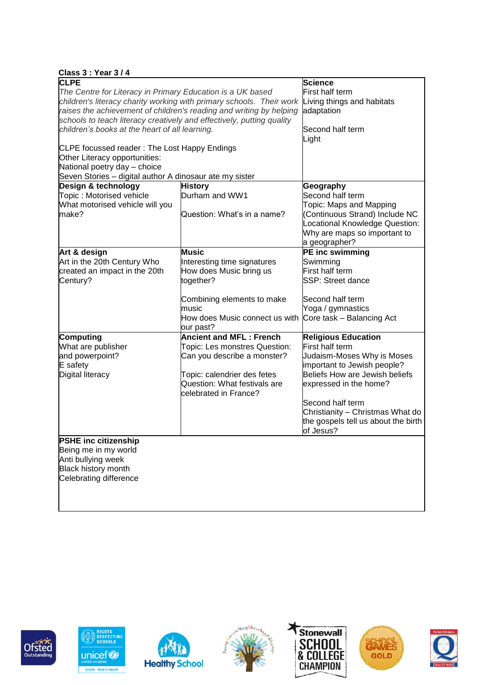| <b>Class 3: Year 3/4</b>                                              |                                                                      |                                     |  |
|-----------------------------------------------------------------------|----------------------------------------------------------------------|-------------------------------------|--|
| <b>CLPE</b>                                                           |                                                                      | <b>Science</b>                      |  |
| The Centre for Literacy in Primary Education is a UK based            | First half term                                                      |                                     |  |
|                                                                       | children's literacy charity working with primary schools. Their work | Living things and habitats          |  |
|                                                                       | raises the achievement of children's reading and writing by helping  | adaptation                          |  |
| schools to teach literacy creatively and effectively, putting quality |                                                                      |                                     |  |
| children's books at the heart of all learning.                        |                                                                      | Second half term                    |  |
|                                                                       |                                                                      | Light                               |  |
| CLPE focussed reader: The Lost Happy Endings                          |                                                                      |                                     |  |
| Other Literacy opportunities:                                         |                                                                      |                                     |  |
| National poetry day - choice                                          |                                                                      |                                     |  |
| Seven Stories - digital author A dinosaur ate my sister               |                                                                      |                                     |  |
| Design & technology                                                   | <b>History</b>                                                       | Geography                           |  |
| Topic: Motorised vehicle                                              | Durham and WW1                                                       | Second half term                    |  |
| What motorised vehicle will you                                       |                                                                      | Topic: Maps and Mapping             |  |
| make?                                                                 | Question: What's in a name?                                          | (Continuous Strand) Include NC      |  |
|                                                                       |                                                                      | Locational Knowledge Question:      |  |
|                                                                       |                                                                      | Why are maps so important to        |  |
|                                                                       |                                                                      | a geographer?                       |  |
| Art & design                                                          | <b>Music</b>                                                         | PE inc swimming                     |  |
| Art in the 20th Century Who                                           | Interesting time signatures                                          | Swimming                            |  |
| created an impact in the 20th                                         | How does Music bring us                                              | First half term                     |  |
| Century?                                                              | together?                                                            | <b>SSP: Street dance</b>            |  |
|                                                                       |                                                                      |                                     |  |
|                                                                       | Combining elements to make                                           | Second half term                    |  |
|                                                                       | music                                                                | Yoga / gymnastics                   |  |
|                                                                       | How does Music connect us with                                       | Core task - Balancing Act           |  |
|                                                                       | our past?                                                            |                                     |  |
| Computing                                                             | <b>Ancient and MFL: French</b>                                       | <b>Religious Education</b>          |  |
| What are publisher                                                    | Topic: Les monstres Question:                                        | First half term                     |  |
| and powerpoint?                                                       | Can you describe a monster?                                          | Judaism-Moses Why is Moses          |  |
| E safety                                                              |                                                                      | important to Jewish people?         |  |
| Digital literacy                                                      | Topic: calendrier des fetes                                          | Beliefs How are Jewish beliefs      |  |
|                                                                       | Question: What festivals are                                         | expressed in the home?              |  |
|                                                                       | celebrated in France?                                                |                                     |  |
|                                                                       |                                                                      | Second half term                    |  |
|                                                                       |                                                                      | Christianity - Christmas What do    |  |
|                                                                       |                                                                      | the gospels tell us about the birth |  |
|                                                                       |                                                                      | of Jesus?                           |  |
| <b>PSHE inc citizenship</b>                                           |                                                                      |                                     |  |
| Being me in my world                                                  |                                                                      |                                     |  |
| Anti bullying week                                                    |                                                                      |                                     |  |
| Black history month                                                   |                                                                      |                                     |  |
| Celebrating difference                                                |                                                                      |                                     |  |
|                                                                       |                                                                      |                                     |  |
|                                                                       |                                                                      |                                     |  |
|                                                                       |                                                                      |                                     |  |













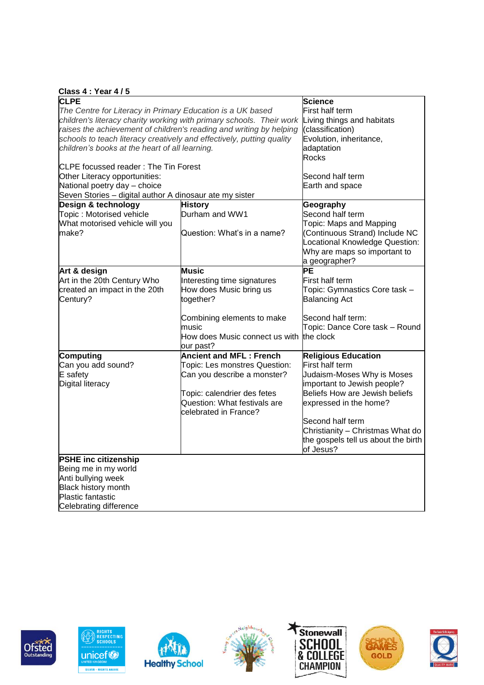| Class 4: Year 4/5 |  |  |  |
|-------------------|--|--|--|
|                   |  |  |  |

| <b>CLPE</b>                                                           |                                | <b>Science</b>                      |
|-----------------------------------------------------------------------|--------------------------------|-------------------------------------|
| The Centre for Literacy in Primary Education is a UK based            |                                | First half term                     |
| children's literacy charity working with primary schools. Their work  | Living things and habitats     |                                     |
| raises the achievement of children's reading and writing by helping   |                                | (classification)                    |
| schools to teach literacy creatively and effectively, putting quality |                                | Evolution, inheritance,             |
| children's books at the heart of all learning.                        |                                | adaptation                          |
|                                                                       |                                | Rocks                               |
| CLPE focussed reader: The Tin Forest                                  |                                |                                     |
| Other Literacy opportunities:                                         |                                | Second half term                    |
| National poetry day - choice                                          |                                | Earth and space                     |
| Seven Stories - digital author A dinosaur ate my sister               |                                |                                     |
| Design & technology                                                   | <b>History</b>                 | Geography                           |
| Topic: Motorised vehicle                                              | Durham and WW1                 | Second half term                    |
| What motorised vehicle will you                                       |                                | Topic: Maps and Mapping             |
| make?                                                                 | Question: What's in a name?    | (Continuous Strand) Include NC      |
|                                                                       |                                | Locational Knowledge Question:      |
|                                                                       |                                | Why are maps so important to        |
|                                                                       |                                | a geographer?                       |
| Art & design                                                          | Music                          | PЕ                                  |
| Art in the 20th Century Who                                           | Interesting time signatures    | First half term                     |
| created an impact in the 20th                                         | How does Music bring us        | Topic: Gymnastics Core task -       |
| Century?                                                              | together?                      | <b>Balancing Act</b>                |
|                                                                       |                                |                                     |
|                                                                       | Combining elements to make     | Second half term:                   |
|                                                                       | music                          | Topic: Dance Core task - Round      |
|                                                                       | How does Music connect us with | the clock                           |
|                                                                       | our past?                      |                                     |
| Computing                                                             | <b>Ancient and MFL: French</b> | <b>Religious Education</b>          |
| Can you add sound?                                                    | Topic: Les monstres Question:  | First half term                     |
| E safety                                                              | Can you describe a monster?    | Judaism-Moses Why is Moses          |
| Digital literacy                                                      |                                | important to Jewish people?         |
|                                                                       | Topic: calendrier des fetes    | Beliefs How are Jewish beliefs      |
|                                                                       | Question: What festivals are   | expressed in the home?              |
|                                                                       | celebrated in France?          |                                     |
|                                                                       |                                | Second half term                    |
|                                                                       |                                | Christianity - Christmas What do    |
|                                                                       |                                | the gospels tell us about the birth |
|                                                                       |                                | of Jesus?                           |
| <b>PSHE inc citizenship</b>                                           |                                |                                     |
| Being me in my world                                                  |                                |                                     |
| Anti bullying week                                                    |                                |                                     |
| Black history month                                                   |                                |                                     |
| <b>Plastic fantastic</b>                                              |                                |                                     |
|                                                                       |                                |                                     |
| Celebrating difference                                                |                                |                                     |